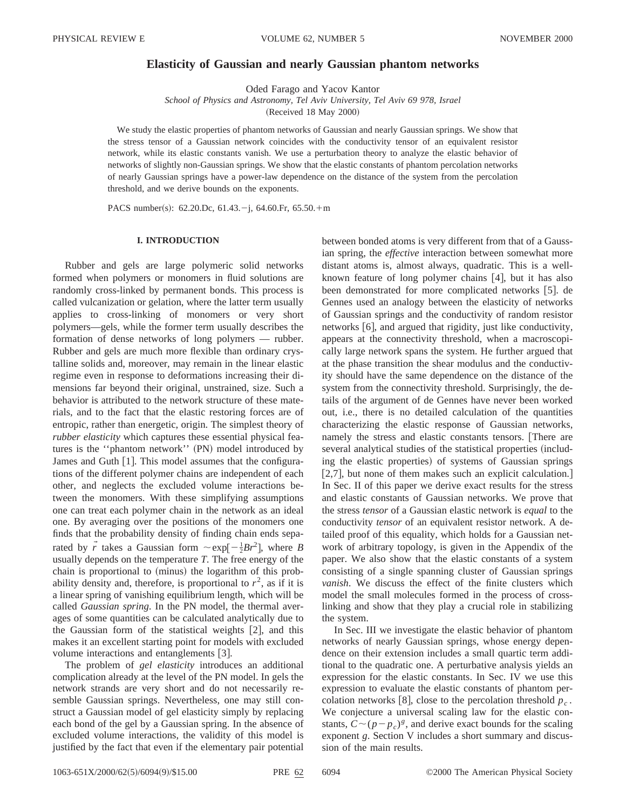# **Elasticity of Gaussian and nearly Gaussian phantom networks**

Oded Farago and Yacov Kantor

*School of Physics and Astronomy, Tel Aviv University, Tel Aviv 69 978, Israel*

(Received 18 May 2000)

We study the elastic properties of phantom networks of Gaussian and nearly Gaussian springs. We show that the stress tensor of a Gaussian network coincides with the conductivity tensor of an equivalent resistor network, while its elastic constants vanish. We use a perturbation theory to analyze the elastic behavior of networks of slightly non-Gaussian springs. We show that the elastic constants of phantom percolation networks of nearly Gaussian springs have a power-law dependence on the distance of the system from the percolation threshold, and we derive bounds on the exponents.

PACS number(s): 62.20.Dc, 61.43. $-j$ , 64.60.Fr, 65.50.+m

## **I. INTRODUCTION**

Rubber and gels are large polymeric solid networks formed when polymers or monomers in fluid solutions are randomly cross-linked by permanent bonds. This process is called vulcanization or gelation, where the latter term usually applies to cross-linking of monomers or very short polymers—gels, while the former term usually describes the formation of dense networks of long polymers — rubber. Rubber and gels are much more flexible than ordinary crystalline solids and, moreover, may remain in the linear elastic regime even in response to deformations increasing their dimensions far beyond their original, unstrained, size. Such a behavior is attributed to the network structure of these materials, and to the fact that the elastic restoring forces are of entropic, rather than energetic, origin. The simplest theory of *rubber elasticity* which captures these essential physical features is the "phantom network" (PN) model introduced by James and Guth  $[1]$ . This model assumes that the configurations of the different polymer chains are independent of each other, and neglects the excluded volume interactions between the monomers. With these simplifying assumptions one can treat each polymer chain in the network as an ideal one. By averaging over the positions of the monomers one finds that the probability density of finding chain ends separated by  $\vec{r}$  takes a Gaussian form  $\sim \exp[-\frac{1}{2}Br^2]$ , where *B* usually depends on the temperature *T*. The free energy of the chain is proportional to (minus) the logarithm of this probability density and, therefore, is proportional to  $r^2$ , as if it is a linear spring of vanishing equilibrium length, which will be called *Gaussian spring*. In the PN model, the thermal averages of some quantities can be calculated analytically due to the Gaussian form of the statistical weights  $|2|$ , and this makes it an excellent starting point for models with excluded volume interactions and entanglements [3].

The problem of *gel elasticity* introduces an additional complication already at the level of the PN model. In gels the network strands are very short and do not necessarily resemble Gaussian springs. Nevertheless, one may still construct a Gaussian model of gel elasticity simply by replacing each bond of the gel by a Gaussian spring. In the absence of excluded volume interactions, the validity of this model is justified by the fact that even if the elementary pair potential

between bonded atoms is very different from that of a Gaussian spring, the *effective* interaction between somewhat more distant atoms is, almost always, quadratic. This is a wellknown feature of long polymer chains  $[4]$ , but it has also been demonstrated for more complicated networks [5]. de Gennes used an analogy between the elasticity of networks of Gaussian springs and the conductivity of random resistor networks [6], and argued that rigidity, just like conductivity, appears at the connectivity threshold, when a macroscopically large network spans the system. He further argued that at the phase transition the shear modulus and the conductivity should have the same dependence on the distance of the system from the connectivity threshold. Surprisingly, the details of the argument of de Gennes have never been worked out, i.e., there is no detailed calculation of the quantities characterizing the elastic response of Gaussian networks, namely the stress and elastic constants tensors. [There are several analytical studies of the statistical properties (including the elastic properties) of systems of Gaussian springs  $[2,7]$ , but none of them makes such an explicit calculation. In Sec. II of this paper we derive exact results for the stress and elastic constants of Gaussian networks. We prove that the stress *tensor* of a Gaussian elastic network is *equal* to the conductivity *tensor* of an equivalent resistor network. A detailed proof of this equality, which holds for a Gaussian network of arbitrary topology, is given in the Appendix of the paper. We also show that the elastic constants of a system consisting of a single spanning cluster of Gaussian springs *vanish*. We discuss the effect of the finite clusters which model the small molecules formed in the process of crosslinking and show that they play a crucial role in stabilizing the system.

In Sec. III we investigate the elastic behavior of phantom networks of nearly Gaussian springs, whose energy dependence on their extension includes a small quartic term additional to the quadratic one. A perturbative analysis yields an expression for the elastic constants. In Sec. IV we use this expression to evaluate the elastic constants of phantom percolation networks [8], close to the percolation threshold  $p_c$ . We conjecture a universal scaling law for the elastic constants,  $C \sim (p - p_c)^g$ , and derive exact bounds for the scaling exponent *g*. Section V includes a short summary and discussion of the main results.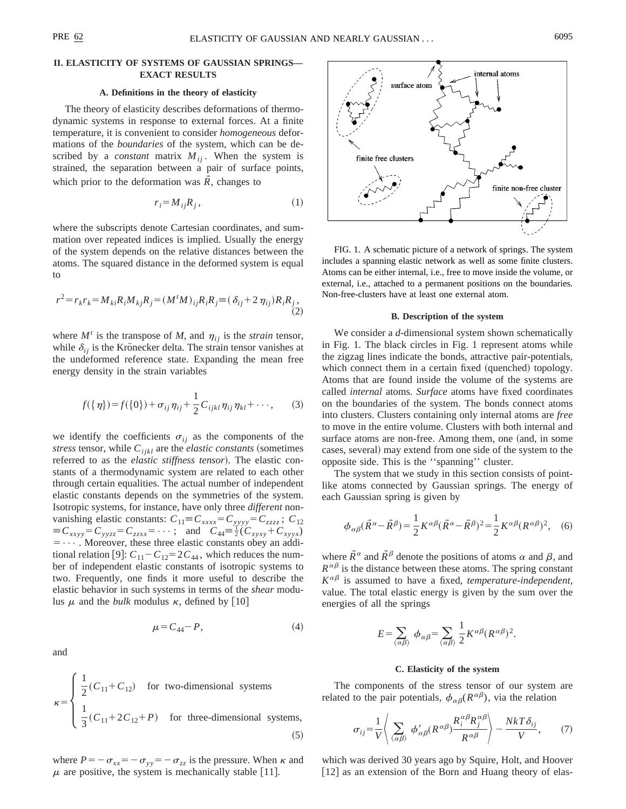# **II. ELASTICITY OF SYSTEMS OF GAUSSIAN SPRINGS— EXACT RESULTS**

### **A. Definitions in the theory of elasticity**

The theory of elasticity describes deformations of thermodynamic systems in response to external forces. At a finite temperature, it is convenient to consider *homogeneous* deformations of the *boundaries* of the system, which can be described by a *constant* matrix  $M_{ij}$ . When the system is strained, the separation between a pair of surface points, which prior to the deformation was  $\hat{R}$ , changes to

$$
r_i = M_{ij} R_j, \qquad (1)
$$

where the subscripts denote Cartesian coordinates, and summation over repeated indices is implied. Usually the energy of the system depends on the relative distances between the atoms. The squared distance in the deformed system is equal to

$$
r^{2} = r_{k}r_{k} = M_{ki}R_{i}M_{kj}R_{j} = (M^{t}M)_{ij}R_{i}R_{j} = (\delta_{ij} + 2 \eta_{ij})R_{i}R_{j},
$$
\n(2)

where  $M<sup>t</sup>$  is the transpose of *M*, and  $\eta_{ij}$  is the *strain* tensor, while  $\delta_{ij}$  is the Krönecker delta. The strain tensor vanishes at the undeformed reference state. Expanding the mean free energy density in the strain variables

$$
f({\eta})=f({0})+\sigma_{ij}\eta_{ij}+\frac{1}{2}C_{ijkl}\eta_{ij}\eta_{kl}+\cdots,
$$
 (3)

we identify the coefficients  $\sigma_{ij}$  as the components of the *stress* tensor, while  $C_{ijkl}$  are the *elastic constants* (sometimes referred to as the *elastic stiffness tensor*). The elastic constants of a thermodynamic system are related to each other through certain equalities. The actual number of independent elastic constants depends on the symmetries of the system. Isotropic systems, for instance, have only three *different* nonvanishing elastic constants:  $C_{11} \equiv C_{xxxx} = C_{yyyy} = C_{zzzz}$ ;  $C_{12}$  $\equiv C_{xxyy} = C_{yyzz} = C_{zzxx} = \cdots;$  and  $C_{44} = \frac{1}{2}(C_{xyxy} + C_{xyyx})$  $= \cdots$ . Moreover, these three elastic constants obey an additional relation [9]:  $C_{11} - C_{12} = 2C_{44}$ , which reduces the number of independent elastic constants of isotropic systems to two. Frequently, one finds it more useful to describe the elastic behavior in such systems in terms of the *shear* modulus  $\mu$  and the *bulk* modulus  $\kappa$ , defined by [10]

$$
\mu = C_{44} - P,\tag{4}
$$

and

$$
\kappa = \begin{cases} \frac{1}{2}(C_{11} + C_{12}) & \text{for two-dimensional systems} \\ \frac{1}{3}(C_{11} + 2C_{12} + P) & \text{for three-dimensional systems,} \end{cases}
$$
(5)

where  $P=-\sigma_{xx}=-\sigma_{yy}=-\sigma_{zz}$  is the pressure. When  $\kappa$  and  $\mu$  are positive, the system is mechanically stable [11].



FIG. 1. A schematic picture of a network of springs. The system includes a spanning elastic network as well as some finite clusters. Atoms can be either internal, i.e., free to move inside the volume, or external, i.e., attached to a permanent positions on the boundaries. Non-free-clusters have at least one external atom.

#### **B. Description of the system**

We consider a *d*-dimensional system shown schematically in Fig. 1. The black circles in Fig. 1 represent atoms while the zigzag lines indicate the bonds, attractive pair-potentials, which connect them in a certain fixed (quenched) topology. Atoms that are found inside the volume of the systems are called *internal* atoms. *Surface* atoms have fixed coordinates on the boundaries of the system. The bonds connect atoms into clusters. Clusters containing only internal atoms are *free* to move in the entire volume. Clusters with both internal and surface atoms are non-free. Among them, one (and, in some cases, several) may extend from one side of the system to the opposite side. This is the ''spanning'' cluster.

The system that we study in this section consists of pointlike atoms connected by Gaussian springs. The energy of each Gaussian spring is given by

$$
\phi_{\alpha\beta}(\vec{R}^{\alpha} - \vec{R}^{\beta}) = \frac{1}{2}K^{\alpha\beta}(\vec{R}^{\alpha} - \vec{R}^{\beta})^2 = \frac{1}{2}K^{\alpha\beta}(R^{\alpha\beta})^2, \quad (6)
$$

where  $\vec{R}^{\alpha}$  and  $\vec{R}^{\beta}$  denote the positions of atoms  $\alpha$  and  $\beta$ , and  $R^{\alpha\beta}$  is the distance between these atoms. The spring constant  $K^{\alpha\beta}$  is assumed to have a fixed, *temperature-independent*, value. The total elastic energy is given by the sum over the energies of all the springs

$$
E\!=\!\sum_{\langle\alpha\beta\rangle}\ \phi_{\alpha\beta}\!=\!\sum_{\langle\alpha\beta\rangle}\frac{1}{2}K^{\alpha\beta}(R^{\alpha\beta})^2.
$$

## **C. Elasticity of the system**

The components of the stress tensor of our system are related to the pair potentials,  $\phi_{\alpha\beta}(R^{\alpha\beta})$ , via the relation

$$
\sigma_{ij} = \frac{1}{V} \left\langle \sum_{\langle \alpha \beta \rangle} \phi'_{\alpha\beta} (R^{\alpha\beta}) \frac{R_i^{\alpha\beta} R_j^{\alpha\beta}}{R^{\alpha\beta}} \right\rangle - \frac{N k T \delta_{ij}}{V}, \qquad (7)
$$

which was derived 30 years ago by Squire, Holt, and Hoover  $[12]$  as an extension of the Born and Huang theory of elas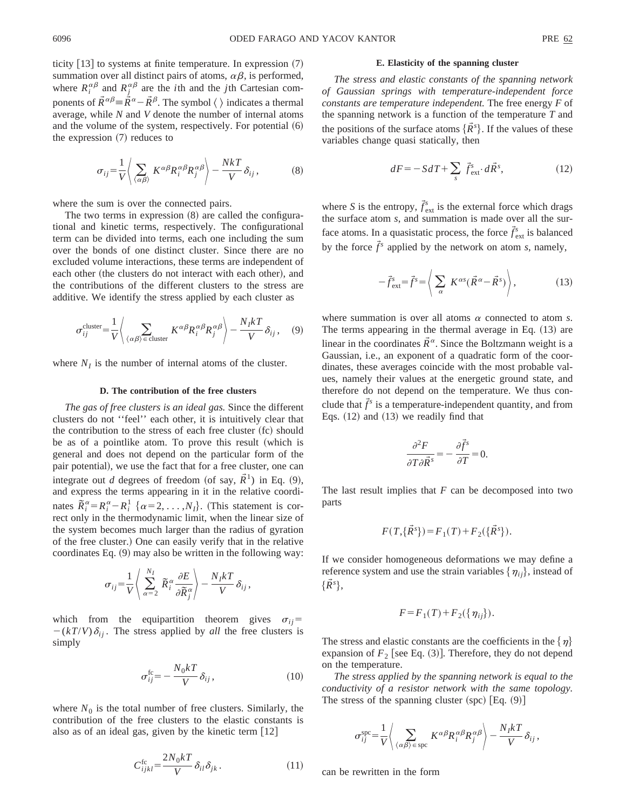ticity  $|13|$  to systems at finite temperature. In expression  $(7)$ summation over all distinct pairs of atoms,  $\alpha\beta$ , is performed, where  $R_i^{\alpha\beta}$  and  $R_j^{\alpha\beta}$  are the *i*th and the *j*th Cartesian components of  $\vec{R}^{\alpha\beta} = \dot{\vec{R}}^{\alpha} - \vec{R}^{\beta}$ . The symbol  $\langle \ \rangle$  indicates a thermal average, while *N* and *V* denote the number of internal atoms and the volume of the system, respectively. For potential  $(6)$ the expression  $(7)$  reduces to

$$
\sigma_{ij} = \frac{1}{V} \left\langle \sum_{\langle \alpha \beta \rangle} K^{\alpha \beta} R_i^{\alpha \beta} R_j^{\alpha \beta} \right\rangle - \frac{N k T}{V} \delta_{ij}, \tag{8}
$$

where the sum is over the connected pairs.

The two terms in expression  $(8)$  are called the configurational and kinetic terms, respectively. The configurational term can be divided into terms, each one including the sum over the bonds of one distinct cluster. Since there are no excluded volume interactions, these terms are independent of each other (the clusters do not interact with each other), and the contributions of the different clusters to the stress are additive. We identify the stress applied by each cluster as

$$
\sigma_{ij}^{\text{cluster}} = \frac{1}{V} \left( \sum_{\langle \alpha \beta \rangle \in \text{cluster}} K^{\alpha \beta} R_i^{\alpha \beta} R_j^{\alpha \beta} \right) - \frac{N_I k T}{V} \delta_{ij}, \quad (9)
$$

where  $N_I$  is the number of internal atoms of the cluster.

### **D. The contribution of the free clusters**

*The gas of free clusters is an ideal gas.* Since the different clusters do not ''feel'' each other, it is intuitively clear that the contribution to the stress of each free cluster (fc) should be as of a pointlike atom. To prove this result (which is general and does not depend on the particular form of the pair potential), we use the fact that for a free cluster, one can integrate out *d* degrees of freedom (of say,  $\tilde{R}^1$ ) in Eq. (9), and express the terms appearing in it in the relative coordinates  $\overline{R}_i^{\alpha} = R_i^{\alpha} - R_i^1$  { $\alpha = 2, ..., N_I$ }. (This statement is correct only in the thermodynamic limit, when the linear size of the system becomes much larger than the radius of gyration of the free cluster.! One can easily verify that in the relative coordinates Eq.  $(9)$  may also be written in the following way:

$$
\sigma_{ij} = \frac{1}{V} \left\langle \sum_{\alpha=2}^{N_I} \widetilde{R}_i^{\alpha} \frac{\partial E}{\partial \widetilde{R}_j^{\alpha}} \right\rangle - \frac{N_I k T}{V} \delta_{ij},
$$

which from the equipartition theorem gives  $\sigma_{ij}$ =  $-(kT/V)\delta_{ij}$ . The stress applied by *all* the free clusters is simply

$$
\sigma_{ij}^{\text{fc}} = -\frac{N_0 kT}{V} \delta_{ij},\qquad(10)
$$

where  $N_0$  is the total number of free clusters. Similarly, the contribution of the free clusters to the elastic constants is also as of an ideal gas, given by the kinetic term  $[12]$ 

$$
C_{ijkl}^{\text{fc}} = \frac{2N_0kT}{V} \delta_{il} \delta_{jk} \,. \tag{11}
$$

#### **E. Elasticity of the spanning cluster**

*The stress and elastic constants of the spanning network of Gaussian springs with temperature-independent force constants are temperature independent.* The free energy *F* of the spanning network is a function of the temperature *T* and the positions of the surface atoms  $\{\vec{R}^s\}$ . If the values of these variables change quasi statically, then

$$
dF = -SdT + \sum_{s} \vec{f}_{\text{ext}}^{s} \cdot d\vec{R}^{s}, \qquad (12)
$$

where *S* is the entropy,  $\vec{f}_{ext}^s$  is the external force which drags the surface atom *s*, and summation is made over all the surface atoms. In a quasistatic process, the force  $\vec{f}_{ext}^s$  is balanced by the force  $\vec{f}^s$  applied by the network on atom *s*, namely,

$$
-\vec{f}_{ext}^s = \vec{f}^s = \left\langle \sum_{\alpha} K^{\alpha s} (\vec{R}^{\alpha} - \vec{R}^s) \right\rangle, \tag{13}
$$

where summation is over all atoms  $\alpha$  connected to atom *s*. The terms appearing in the thermal average in Eq.  $(13)$  are linear in the coordinates  $\tilde{R}^{\alpha}$ . Since the Boltzmann weight is a Gaussian, i.e., an exponent of a quadratic form of the coordinates, these averages coincide with the most probable values, namely their values at the energetic ground state, and therefore do not depend on the temperature. We thus conclude that  $\vec{f}^s$  is a temperature-independent quantity, and from Eqs.  $(12)$  and  $(13)$  we readily find that

$$
\frac{\partial^2 F}{\partial T \partial \vec{R}^s} = -\frac{\partial \vec{f}^s}{\partial T} = 0.
$$

The last result implies that *F* can be decomposed into two parts

$$
F(T,\{\vec{R}^s\}) = F_1(T) + F_2(\{\vec{R}^s\}).
$$

If we consider homogeneous deformations we may define a reference system and use the strain variables  $\{\eta_{ij}\}\$ , instead of  $\{\vec{R}^s\},$ 

$$
F = F_1(T) + F_2(\{\eta_{ij}\}).
$$

The stress and elastic constants are the coefficients in the  $\{\eta\}$ expansion of  $F_2$  [see Eq.  $(3)$ ]. Therefore, they do not depend on the temperature.

*The stress applied by the spanning network is equal to the conductivity of a resistor network with the same topology.* The stress of the spanning cluster  $({\rm spc})$  [Eq.  $(9)$ ]

$$
\sigma_{ij}^{\rm spc} = \frac{1}{V} \left\langle \sum_{\langle \alpha \beta \rangle \in \rm spc} K^{\alpha \beta} R_i^{\alpha \beta} R_j^{\alpha \beta} \right\rangle - \frac{N_I kT}{V} \delta_{ij},
$$

can be rewritten in the form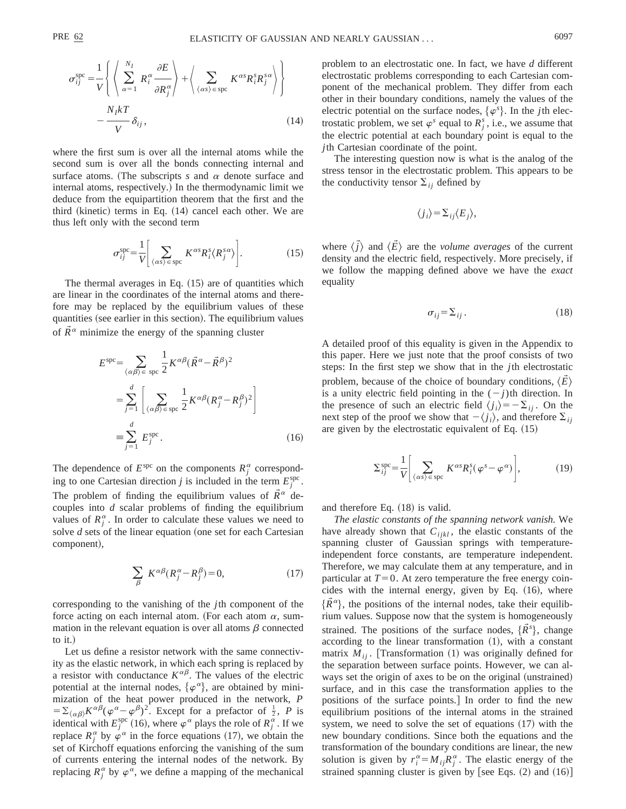$$
\sigma_{ij}^{\text{spe}} = \frac{1}{V} \left\{ \left\langle \sum_{\alpha=1}^{N_I} R_i^{\alpha} \frac{\partial E}{\partial R_j^{\alpha}} \right\rangle + \left\langle \sum_{\langle \alpha s \rangle \in \text{spc}} K^{\alpha s} R_i^{s} R_j^{s \alpha} \right\rangle \right\}
$$

$$
- \frac{N_I k T}{V} \delta_{ij}, \qquad (14)
$$

where the first sum is over all the internal atoms while the second sum is over all the bonds connecting internal and surface atoms. (The subscripts  $s$  and  $\alpha$  denote surface and internal atoms, respectively.) In the thermodynamic limit we deduce from the equipartition theorem that the first and the third (kinetic) terms in Eq.  $(14)$  cancel each other. We are thus left only with the second term

$$
\sigma_{ij}^{\rm spe} = \frac{1}{V} \bigg[ \sum_{\langle \alpha s \rangle \in \rm spec} K^{\alpha s} R_i^s \langle R_j^{s \alpha} \rangle \bigg]. \tag{15}
$$

The thermal averages in Eq.  $(15)$  are of quantities which are linear in the coordinates of the internal atoms and therefore may be replaced by the equilibrium values of these quantities (see earlier in this section). The equilibrium values of  $\vec{R}^{\alpha}$  minimize the energy of the spanning cluster

$$
E^{\rm spec} = \sum_{\langle \alpha \beta \rangle \in \text{ spec}} \frac{1}{2} K^{\alpha \beta} (\vec{R}^{\alpha} - \vec{R}^{\beta})^2
$$
  
= 
$$
\sum_{j=1}^{d} \left[ \sum_{\langle \alpha \beta \rangle \in \text{ spec}} \frac{1}{2} K^{\alpha \beta} (R_j^{\alpha} - R_j^{\beta})^2 \right]
$$
  
= 
$$
\sum_{j=1}^{d} E_j^{\rm spec}.
$$
 (16)

The dependence of  $E^{\text{spe}}$  on the components  $R_j^{\alpha}$  corresponding to one Cartesian direction *j* is included in the term  $E_j^{\text{spc}}$ . The problem of finding the equilibrium values of  $\tilde{R}^{\alpha}$  decouples into *d* scalar problems of finding the equilibrium values of  $R_j^{\alpha}$ . In order to calculate these values we need to solve  $d$  sets of the linear equation (one set for each Cartesian component),

$$
\sum_{\beta} K^{\alpha\beta} (R_j^{\alpha} - R_j^{\beta}) = 0, \qquad (17)
$$

corresponding to the vanishing of the *j*th component of the force acting on each internal atom. (For each atom  $\alpha$ , summation in the relevant equation is over all atoms  $\beta$  connected to it.)

Let us define a resistor network with the same connectivity as the elastic network, in which each spring is replaced by a resistor with conductance  $K^{\alpha\beta}$ . The values of the electric potential at the internal nodes,  $\{\varphi^{\alpha}\}\)$ , are obtained by minimization of the heat power produced in the network, *P*  $=\sum_{\langle \alpha\beta\rangle} K^{\alpha\beta} (\varphi^{\alpha} - \varphi^{\beta})^2$ . Except for a prefactor of  $\frac{1}{2}$ , *P* is identical with  $E_j^{\text{spe}}$  (16), where  $\varphi^{\alpha}$  plays the role of  $R_j^{\alpha}$ . If we replace  $R_j^{\alpha}$  by  $\varphi^{\alpha}$  in the force equations (17), we obtain the set of Kirchoff equations enforcing the vanishing of the sum of currents entering the internal nodes of the network. By replacing  $R_j^{\alpha}$  by  $\varphi^{\alpha}$ , we define a mapping of the mechanical problem to an electrostatic one. In fact, we have *d* different electrostatic problems corresponding to each Cartesian component of the mechanical problem. They differ from each other in their boundary conditions, namely the values of the electric potential on the surface nodes,  $\{\varphi^s\}$ . In the *j*th electrostatic problem, we set  $\varphi^s$  equal to  $R_j^s$ , i.e., we assume that the electric potential at each boundary point is equal to the *j*th Cartesian coordinate of the point.

The interesting question now is what is the analog of the stress tensor in the electrostatic problem. This appears to be the conductivity tensor  $\Sigma_{ij}$  defined by

$$
\langle j_i \rangle = \sum_{ij} \langle E_j \rangle,
$$

where  $\langle \vec{j} \rangle$  and  $\langle \vec{E} \rangle$  are the *volume averages* of the current density and the electric field, respectively. More precisely, if we follow the mapping defined above we have the *exact* equality

$$
\sigma_{ij} = \sum_{ij} . \tag{18}
$$

A detailed proof of this equality is given in the Appendix to this paper. Here we just note that the proof consists of two steps: In the first step we show that in the *j*th electrostatic problem, because of the choice of boundary conditions,  $\langle E \rangle$ is a unity electric field pointing in the  $(-j)$ th direction. In the presence of such an electric field  $\langle j_i \rangle = -\sum_{i,j} \rangle$ . On the next step of the proof we show that  $-\langle j_i \rangle$ , and therefore  $\Sigma_{ii}$ are given by the electrostatic equivalent of Eq.  $(15)$ 

$$
\Sigma_{ij}^{\text{spe}} = \frac{1}{V} \left[ \sum_{\langle \alpha s \rangle \in \text{spc}} K^{\alpha s} R_i^s (\varphi^s - \varphi^{\alpha}) \right],\tag{19}
$$

and therefore Eq.  $(18)$  is valid.

*The elastic constants of the spanning network vanish.* We have already shown that  $C_{ijkl}$ , the elastic constants of the spanning cluster of Gaussian springs with temperatureindependent force constants, are temperature independent. Therefore, we may calculate them at any temperature, and in particular at  $T=0$ . At zero temperature the free energy coincides with the internal energy, given by Eq.  $(16)$ , where  $\{R^{\alpha}\}\$ , the positions of the internal nodes, take their equilibrium values. Suppose now that the system is homogeneously strained. The positions of the surface nodes,  $\{\vec{R}^s\}$ , change according to the linear transformation  $(1)$ , with a constant matrix  $M_{ii}$ . [Transformation (1) was originally defined for the separation between surface points. However, we can always set the origin of axes to be on the original (unstrained) surface, and in this case the transformation applies to the positions of the surface points. In order to find the new equilibrium positions of the internal atoms in the strained system, we need to solve the set of equations  $(17)$  with the new boundary conditions. Since both the equations and the transformation of the boundary conditions are linear, the new solution is given by  $r_i^{\alpha} = M_{ij} R_j^{\alpha}$ . The elastic energy of the strained spanning cluster is given by [see Eqs.  $(2)$  and  $(16)$ ]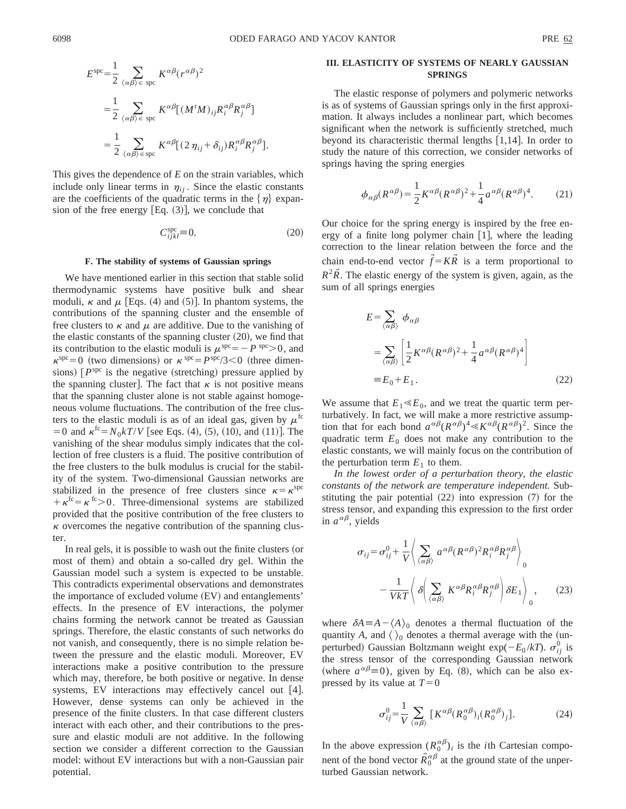$$
E^{\rm spec} = \frac{1}{2} \sum_{\langle \alpha \beta \rangle \in \text{ spec}} K^{\alpha \beta} (r^{\alpha \beta})^2
$$
  
= 
$$
\frac{1}{2} \sum_{\langle \alpha \beta \rangle \in \text{ spec}} K^{\alpha \beta} [(M^t M)_{ij} R_i^{\alpha \beta} R_j^{\alpha \beta}]
$$
  
= 
$$
\frac{1}{2} \sum_{\langle \alpha \beta \rangle \in \text{ spec}} K^{\alpha \beta} [(2 \eta_{ij} + \delta_{ij}) R_i^{\alpha \beta} R_j^{\alpha \beta}].
$$

This gives the dependence of *E* on the strain variables, which include only linear terms in  $\eta_{ij}$ . Since the elastic constants are the coefficients of the quadratic terms in the  $\{\eta\}$  expansion of the free energy  $[Eq. (3)]$ , we conclude that

$$
C_{ijkl}^{\text{spc}} \equiv 0. \tag{20}
$$

#### **F. The stability of systems of Gaussian springs**

We have mentioned earlier in this section that stable solid thermodynamic systems have positive bulk and shear moduli,  $\kappa$  and  $\mu$  [Eqs. (4) and (5)]. In phantom systems, the contributions of the spanning cluster and the ensemble of free clusters to  $\kappa$  and  $\mu$  are additive. Due to the vanishing of the elastic constants of the spanning cluster  $(20)$ , we find that its contribution to the elastic moduli is  $\mu^{\text{spe}} = -P^{\text{spe}} > 0$ , and  $\kappa^{\rm spc}=0$  (two dimensions) or  $\kappa^{\rm spc}=P^{\rm spc}/3<0$  (three dimensions)  $[P<sup>spc</sup>$  is the negative (stretching) pressure applied by the spanning cluster]. The fact that  $\kappa$  is not positive means that the spanning cluster alone is not stable against homogeneous volume fluctuations. The contribution of the free clusters to the elastic moduli is as of an ideal gas, given by  $\mu^{\text{fc}}$  $=0$  and  $\kappa^{fc} = N_0 kT/V$  [see Eqs. (4), (5), (10), and (11)]. The vanishing of the shear modulus simply indicates that the collection of free clusters is a fluid. The positive contribution of the free clusters to the bulk modulus is crucial for the stability of the system. Two-dimensional Gaussian networks are stabilized in the presence of free clusters since  $\kappa = \kappa^{\rm spc}$  $+\kappa^{fc}=\kappa^{fc}>0$ . Three-dimensional systems are stabilized provided that the positive contribution of the free clusters to  $\kappa$  overcomes the negative contribution of the spanning cluster.

In real gels, it is possible to wash out the finite clusters (or most of them) and obtain a so-called dry gel. Within the Gaussian model such a system is expected to be unstable. This contradicts experimental observations and demonstrates the importance of excluded volume (EV) and entanglements' effects. In the presence of EV interactions, the polymer chains forming the network cannot be treated as Gaussian springs. Therefore, the elastic constants of such networks do not vanish, and consequently, there is no simple relation between the pressure and the elastic moduli. Moreover, EV interactions make a positive contribution to the pressure which may, therefore, be both positive or negative. In dense systems, EV interactions may effectively cancel out [4]. However, dense systems can only be achieved in the presence of the finite clusters. In that case different clusters interact with each other, and their contributions to the pressure and elastic moduli are not additive. In the following section we consider a different correction to the Gaussian model: without EV interactions but with a non-Gaussian pair potential.

## **III. ELASTICITY OF SYSTEMS OF NEARLY GAUSSIAN SPRINGS**

The elastic response of polymers and polymeric networks is as of systems of Gaussian springs only in the first approximation. It always includes a nonlinear part, which becomes significant when the network is sufficiently stretched, much beyond its characteristic thermal lengths  $[1,14]$ . In order to study the nature of this correction, we consider networks of springs having the spring energies

$$
\phi_{\alpha\beta}(R^{\alpha\beta}) = \frac{1}{2}K^{\alpha\beta}(R^{\alpha\beta})^2 + \frac{1}{4}a^{\alpha\beta}(R^{\alpha\beta})^4.
$$
 (21)

Our choice for the spring energy is inspired by the free energy of a finite long polymer chain  $[1]$ , where the leading correction to the linear relation between the force and the chain end-to-end vector  $\vec{f} = K\vec{R}$  is a term proportional to  $R^2\tilde{R}$ . The elastic energy of the system is given, again, as the sum of all springs energies

$$
E = \sum_{\langle \alpha \beta \rangle} \phi_{\alpha \beta}
$$
  
= 
$$
\sum_{\langle \alpha \beta \rangle} \left[ \frac{1}{2} K^{\alpha \beta} (R^{\alpha \beta})^2 + \frac{1}{4} a^{\alpha \beta} (R^{\alpha \beta})^4 \right]
$$
  
= 
$$
E_0 + E_1.
$$
 (22)

We assume that  $E_1 \ll E_0$ , and we treat the quartic term perturbatively. In fact, we will make a more restrictive assumption that for each bond  $a^{\alpha\beta}(R^{\alpha\beta})^4 \ll K^{\alpha\beta}(R^{\alpha\beta})^2$ . Since the quadratic term  $E_0$  does not make any contribution to the elastic constants, we will mainly focus on the contribution of the perturbation term  $E_1$  to them.

*In the lowest order of a perturbation theory, the elastic constants of the network are temperature independent.* Substituting the pair potential  $(22)$  into expression  $(7)$  for the stress tensor, and expanding this expression to the first order in  $a^{\alpha\beta}$ , yields

$$
\sigma_{ij} = \sigma_{ij}^0 + \frac{1}{V} \left\langle \sum_{\alpha \beta} a^{\alpha \beta} (R^{\alpha \beta})^2 R_i^{\alpha \beta} R_j^{\alpha \beta} \right\rangle_0
$$

$$
- \frac{1}{V k T} \left\langle \delta \left( \sum_{\alpha \beta} K^{\alpha \beta} R_i^{\alpha \beta} R_j^{\alpha \beta} \right) \delta E_1 \right\rangle_0, \qquad (23)
$$

where  $\delta A \equiv A - \langle A \rangle_0$  denotes a thermal fluctuation of the quantity *A*, and  $\langle \rangle_0$  denotes a thermal average with the (unperturbed) Gaussian Boltzmann weight exp( $-E_0 / kT$ ).  $\sigma_{ij}^0$  is the stress tensor of the corresponding Gaussian network (where  $a^{\alpha\beta} \equiv 0$ ), given by Eq. (8), which can be also expressed by its value at  $T=0$ 

$$
\sigma_{ij}^0 = \frac{1}{V} \sum_{\langle \alpha \beta \rangle} \left[ K^{\alpha \beta} (R_0^{\alpha \beta})_i (R_0^{\alpha \beta})_j \right]. \tag{24}
$$

In the above expression  $(R_0^{\alpha\beta})_i$  is the *i*th Cartesian component of the bond vector  $\vec{R}^{\alpha\beta}_0$  at the ground state of the unperturbed Gaussian network.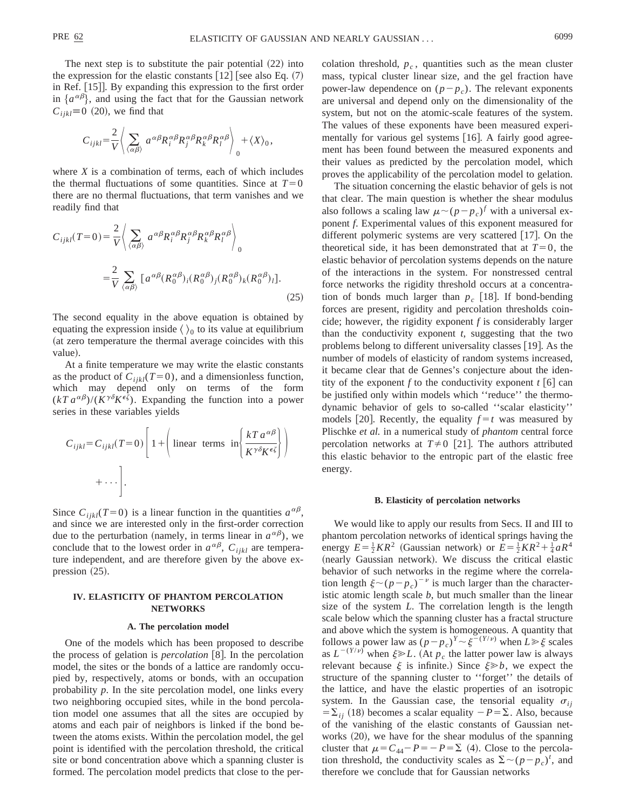The next step is to substitute the pair potential  $(22)$  into the expression for the elastic constants  $[12]$  [see also Eq.  $(7)$ ] in Ref.  $[15]$ . By expanding this expression to the first order in  $\{a^{\alpha\beta}\}\$ , and using the fact that for the Gaussian network  $C_{ijkl} \equiv 0$  (20), we find that

$$
C_{ijkl} = \frac{2}{V} \left( \sum_{\langle \alpha \beta \rangle} a^{\alpha \beta} R_i^{\alpha \beta} R_j^{\alpha \beta} R_k^{\alpha \beta} R_l^{\alpha \beta} \right)_0 + \langle X \rangle_0,
$$

where *X* is a combination of terms, each of which includes the thermal fluctuations of some quantities. Since at  $T=0$ there are no thermal fluctuations, that term vanishes and we readily find that

$$
C_{ijkl}(T=0) = \frac{2}{V} \left\langle \sum_{\langle \alpha \beta \rangle} a^{\alpha \beta} R_i^{\alpha \beta} R_j^{\alpha \beta} R_k^{\alpha \beta} R_l^{\alpha \beta} \right\rangle_0
$$
  

$$
= \frac{2}{V} \sum_{\langle \alpha \beta \rangle} [a^{\alpha \beta} (R_0^{\alpha \beta})_i (R_0^{\alpha \beta})_j (R_0^{\alpha \beta})_k (R_0^{\alpha \beta})_l].
$$
 (25)

The second equality in the above equation is obtained by equating the expression inside  $\langle \ \rangle_0$  to its value at equilibrium (at zero temperature the thermal average coincides with this value).

At a finite temperature we may write the elastic constants as the product of  $C_{ijkl}(T=0)$ , and a dimensionless function, which may depend only on terms of the form  $(kT a^{\alpha\beta})/(K^{\gamma\delta} K^{\epsilon\zeta})$ . Expanding the function into a power series in these variables yields

$$
C_{ijkl} = C_{ijkl}(T=0) \left[ 1 + \left( \text{linear terms in} \left\{ \frac{kT a^{\alpha\beta}}{K^{\gamma\delta} K^{\epsilon\zeta}} \right\} \right) + \cdots \right].
$$

Since  $C_{ijkl}(T=0)$  is a linear function in the quantities  $a^{\alpha\beta}$ , and since we are interested only in the first-order correction due to the perturbation (namely, in terms linear in  $a^{\alpha\beta}$ ), we conclude that to the lowest order in  $a^{\alpha\beta}$ ,  $C_{ijkl}$  are temperature independent, and are therefore given by the above expression  $(25)$ .

# **IV. ELASTICITY OF PHANTOM PERCOLATION NETWORKS**

#### **A. The percolation model**

One of the models which has been proposed to describe the process of gelation is *percolation* [8]. In the percolation model, the sites or the bonds of a lattice are randomly occupied by, respectively, atoms or bonds, with an occupation probability *p*. In the site percolation model, one links every two neighboring occupied sites, while in the bond percolation model one assumes that all the sites are occupied by atoms and each pair of neighbors is linked if the bond between the atoms exists. Within the percolation model, the gel point is identified with the percolation threshold, the critical site or bond concentration above which a spanning cluster is formed. The percolation model predicts that close to the percolation threshold,  $p_c$ , quantities such as the mean cluster mass, typical cluster linear size, and the gel fraction have power-law dependence on  $(p-p_c)$ . The relevant exponents are universal and depend only on the dimensionality of the system, but not on the atomic-scale features of the system. The values of these exponents have been measured experimentally for various gel systems  $[16]$ . A fairly good agreement has been found between the measured exponents and their values as predicted by the percolation model, which proves the applicability of the percolation model to gelation.

The situation concerning the elastic behavior of gels is not that clear. The main question is whether the shear modulus also follows a scaling law  $\mu \sim (p-p_c)^f$  with a universal exponent *f*. Experimental values of this exponent measured for different polymeric systems are very scattered  $[17]$ . On the theoretical side, it has been demonstrated that at  $T=0$ , the elastic behavior of percolation systems depends on the nature of the interactions in the system. For nonstressed central force networks the rigidity threshold occurs at a concentration of bonds much larger than  $p_c$  [18]. If bond-bending forces are present, rigidity and percolation thresholds coincide; however, the rigidity exponent *f* is considerably larger than the conductivity exponent *t*, suggesting that the two problems belong to different universality classes  $[19]$ . As the number of models of elasticity of random systems increased, it became clear that de Gennes's conjecture about the identity of the exponent *f* to the conductivity exponent  $t \cdot [6]$  can be justified only within models which ''reduce'' the thermodynamic behavior of gels to so-called ''scalar elasticity'' models [20]. Recently, the equality  $f = t$  was measured by Plischke *et al.* in a numerical study of *phantom* central force percolation networks at  $T\neq 0$  [21]. The authors attributed this elastic behavior to the entropic part of the elastic free energy.

### **B. Elasticity of percolation networks**

We would like to apply our results from Secs. II and III to phantom percolation networks of identical springs having the energy  $E = \frac{1}{2}KR^2$  (Gaussian network) or  $E = \frac{1}{2}KR^2 + \frac{1}{4}aR^4$ (nearly Gaussian network). We discuss the critical elastic behavior of such networks in the regime where the correlation length  $\xi \sim (p-p_c)^{-\nu}$  is much larger than the characteristic atomic length scale *b*, but much smaller than the linear size of the system *L*. The correlation length is the length scale below which the spanning cluster has a fractal structure and above which the system is homogeneous. A quantity that follows a power law as  $(p-p_c)^{\gamma} \sim \xi^{-(\gamma/\nu)}$  when  $L \gg \xi$  scales as  $L^{-(Y/\nu)}$  when  $\xi \geq L$ . (At  $p_c$  the latter power law is always relevant because  $\xi$  is infinite.) Since  $\xi \gg b$ , we expect the structure of the spanning cluster to ''forget'' the details of the lattice, and have the elastic properties of an isotropic system. In the Gaussian case, the tensorial equality  $\sigma_{ij}$  $=\sum_{ij}$  (18) becomes a scalar equality  $-P=\sum$ . Also, because of the vanishing of the elastic constants of Gaussian networks  $(20)$ , we have for the shear modulus of the spanning cluster that  $\mu = C_{44} - P = -P = \Sigma$  (4). Close to the percolation threshold, the conductivity scales as  $\Sigma \sim (p - p_c)^t$ , and therefore we conclude that for Gaussian networks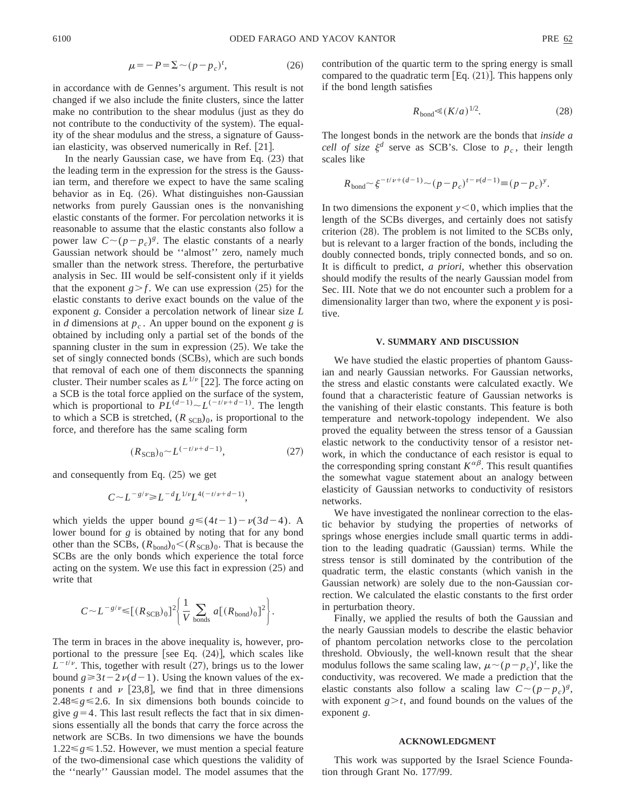$$
\mu = -P = \Sigma \sim (p - p_c)^t,\tag{26}
$$

in accordance with de Gennes's argument. This result is not changed if we also include the finite clusters, since the latter make no contribution to the shear modulus (just as they do not contribute to the conductivity of the system). The equality of the shear modulus and the stress, a signature of Gaussian elasticity, was observed numerically in Ref. [21].

In the nearly Gaussian case, we have from Eq.  $(23)$  that the leading term in the expression for the stress is the Gaussian term, and therefore we expect to have the same scaling behavior as in Eq.  $(26)$ . What distinguishes non-Gaussian networks from purely Gaussian ones is the nonvanishing elastic constants of the former. For percolation networks it is reasonable to assume that the elastic constants also follow a power law  $C \sim (p-p_c)^g$ . The elastic constants of a nearly Gaussian network should be ''almost'' zero, namely much smaller than the network stress. Therefore, the perturbative analysis in Sec. III would be self-consistent only if it yields that the exponent  $g > f$ . We can use expression (25) for the elastic constants to derive exact bounds on the value of the exponent *g*. Consider a percolation network of linear size *L* in *d* dimensions at  $p_c$ . An upper bound on the exponent *g* is obtained by including only a partial set of the bonds of the spanning cluster in the sum in expression  $(25)$ . We take the set of singly connected bonds (SCBs), which are such bonds that removal of each one of them disconnects the spanning cluster. Their number scales as  $L^{1/\nu}$  [22]. The force acting on a SCB is the total force applied on the surface of the system, which is proportional to  $PL^{(d-1)} \sim L^{(-t/\nu+d-1)}$ . The length to which a SCB is stretched,  $(R_{SCB})_0$ , is proportional to the force, and therefore has the same scaling form

$$
(R_{\text{SCB}})_0 \sim L^{(-t/\nu + d - 1)},\tag{27}
$$

and consequently from Eq.  $(25)$  we get

$$
C^{\sim}L^{-g/\nu}\!\!\geqslant\! L^{-d}L^{1/\nu}L^{4(-t/\nu+d-1)},
$$

which yields the upper bound  $g \leq (4t-1) - \nu(3d-4)$ . A lower bound for *g* is obtained by noting that for any bond other than the SCBs,  $(R_{bond})_0 < (R_{SCB})_0$ . That is because the SCBs are the only bonds which experience the total force acting on the system. We use this fact in expression  $(25)$  and write that

$$
C \sim L^{-g/\nu} \leq \left[ (R_{\text{SCB}})_0 \right]^2 \left\{ \frac{1}{V} \sum_{\text{bonds}} a \left[ (R_{\text{bond}})_0 \right]^2 \right\}.
$$

The term in braces in the above inequality is, however, proportional to the pressure [see Eq.  $(24)$ ], which scales like  $L^{-t/\nu}$ . This, together with result (27), brings us to the lower bound  $g \ge 3t - 2\nu(d-1)$ . Using the known values of the exponents *t* and  $\nu$  [23,8], we find that in three dimensions 2.48 $\leq$ g $\leq$ 2.6. In six dimensions both bounds coincide to give  $g=4$ . This last result reflects the fact that in six dimensions essentially all the bonds that carry the force across the network are SCBs. In two dimensions we have the bounds  $1.22 \le g \le 1.52$ . However, we must mention a special feature of the two-dimensional case which questions the validity of the ''nearly'' Gaussian model. The model assumes that the contribution of the quartic term to the spring energy is small compared to the quadratic term  $[Eq. (21)]$ . This happens only if the bond length satisfies

$$
R_{\text{bond}} \ll (K/a)^{1/2}.
$$
 (28)

The longest bonds in the network are the bonds that *inside a cell of size*  $\xi^d$  serve as SCB's. Close to  $p_c$ , their length scales like

$$
R_{\text{bond}} \sim \xi^{-t/\nu + (d-1)} \sim (p - p_c)^{t - \nu(d-1)} \equiv (p - p_c)^{\nu}.
$$

In two dimensions the exponent  $y < 0$ , which implies that the length of the SCBs diverges, and certainly does not satisfy criterion  $(28)$ . The problem is not limited to the SCBs only, but is relevant to a larger fraction of the bonds, including the doubly connected bonds, triply connected bonds, and so on. It is difficult to predict, *a priori*, whether this observation should modify the results of the nearly Gaussian model from Sec. III. Note that we do not encounter such a problem for a dimensionality larger than two, where the exponent *y* is positive.

#### **V. SUMMARY AND DISCUSSION**

We have studied the elastic properties of phantom Gaussian and nearly Gaussian networks. For Gaussian networks, the stress and elastic constants were calculated exactly. We found that a characteristic feature of Gaussian networks is the vanishing of their elastic constants. This feature is both temperature and network-topology independent. We also proved the equality between the stress tensor of a Gaussian elastic network to the conductivity tensor of a resistor network, in which the conductance of each resistor is equal to the corresponding spring constant  $K^{\alpha\beta}$ . This result quantifies the somewhat vague statement about an analogy between elasticity of Gaussian networks to conductivity of resistors networks.

We have investigated the nonlinear correction to the elastic behavior by studying the properties of networks of springs whose energies include small quartic terms in addition to the leading quadratic (Gaussian) terms. While the stress tensor is still dominated by the contribution of the quadratic term, the elastic constants (which vanish in the Gaussian network) are solely due to the non-Gaussian correction. We calculated the elastic constants to the first order in perturbation theory.

Finally, we applied the results of both the Gaussian and the nearly Gaussian models to describe the elastic behavior of phantom percolation networks close to the percolation threshold. Obviously, the well-known result that the shear modulus follows the same scaling law,  $\mu \sim (p-p_c)^t$ , like the conductivity, was recovered. We made a prediction that the elastic constants also follow a scaling law  $C \sim (p - p_c)^g$ , with exponent  $g > t$ , and found bounds on the values of the exponent *g*.

### **ACKNOWLEDGMENT**

This work was supported by the Israel Science Foundation through Grant No. 177/99.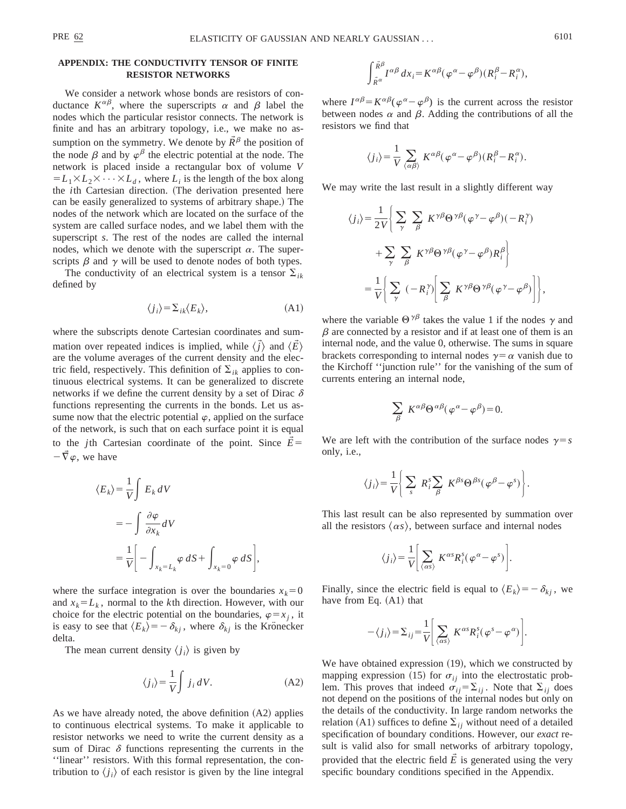We consider a network whose bonds are resistors of conductance  $K^{\alpha\beta}$ , where the superscripts  $\alpha$  and  $\beta$  label the nodes which the particular resistor connects. The network is finite and has an arbitrary topology, i.e., we make no assumption on the symmetry. We denote by  $\vec{R}^{\beta}$  the position of the node  $\beta$  and by  $\varphi^{\beta}$  the electric potential at the node. The network is placed inside a rectangular box of volume *V*  $= L_1 \times L_2 \times \cdots \times L_d$ , where  $L_i$  is the length of the box along the *i*th Cartesian direction. (The derivation presented here can be easily generalized to systems of arbitrary shape.) The nodes of the network which are located on the surface of the system are called surface nodes, and we label them with the superscript *s*. The rest of the nodes are called the internal nodes, which we denote with the superscript  $\alpha$ . The superscripts  $\beta$  and  $\gamma$  will be used to denote nodes of both types.

The conductivity of an electrical system is a tensor  $\Sigma_{ik}$ defined by

$$
\langle j_i \rangle = \sum_{ik} \langle E_k \rangle,\tag{A1}
$$

where the subscripts denote Cartesian coordinates and summation over repeated indices is implied, while  $\langle \vec{j} \rangle$  and  $\langle \vec{E} \rangle$ are the volume averages of the current density and the electric field, respectively. This definition of  $\Sigma_{ik}$  applies to continuous electrical systems. It can be generalized to discrete networks if we define the current density by a set of Dirac  $\delta$ functions representing the currents in the bonds. Let us assume now that the electric potential  $\varphi$ , applied on the surface of the network, is such that on each surface point it is equal to the *j*th Cartesian coordinate of the point. Since  $E=$  $-\vec{\nabla}\varphi$ , we have

$$
\langle E_k \rangle = \frac{1}{V} \int E_k dV
$$
  
= 
$$
- \int \frac{\partial \varphi}{\partial x_k} dV
$$
  
= 
$$
\frac{1}{V} \bigg[ - \int_{x_k = L_k} \varphi dS + \int_{x_k = 0} \varphi dS \bigg],
$$

where the surface integration is over the boundaries  $x_k=0$ and  $x_k = L_k$ , normal to the *k*th direction. However, with our choice for the electric potential on the boundaries,  $\varphi = x_j$ , it is easy to see that  $\langle E_k \rangle = -\delta_{kj}$ , where  $\delta_{kj}$  is the Krönecker delta.

The mean current density  $\langle j_i \rangle$  is given by

$$
\langle j_i \rangle = \frac{1}{V} \int j_i \, dV. \tag{A2}
$$

As we have already noted, the above definition  $(A2)$  applies to continuous electrical systems. To make it applicable to resistor networks we need to write the current density as a sum of Dirac  $\delta$  functions representing the currents in the ''linear'' resistors. With this formal representation, the contribution to  $\langle j_i \rangle$  of each resistor is given by the line integral

$$
\int_{\mathring{R}^{\alpha}}^{\mathring{R}^{\beta}} dx_i = K^{\alpha\beta} (\varphi^{\alpha} - \varphi^{\beta}) (R_i^{\beta} - R_i^{\alpha}),
$$

where  $I^{\alpha\beta} = K^{\alpha\beta}(\varphi^{\alpha} - \varphi^{\beta})$  is the current across the resistor between nodes  $\alpha$  and  $\beta$ . Adding the contributions of all the resistors we find that

$$
\langle j_i \rangle = \frac{1}{V} \sum_{\langle \alpha \beta \rangle} K^{\alpha \beta} (\varphi^{\alpha} - \varphi^{\beta}) (R_i^{\beta} - R_i^{\alpha}).
$$

We may write the last result in a slightly different way

$$
\langle j_i \rangle = \frac{1}{2V} \Bigg\{ \sum_{\gamma} \sum_{\beta} K^{\gamma \beta} \Theta^{\gamma \beta} (\varphi^{\gamma} - \varphi^{\beta}) (-R_i^{\gamma}) + \sum_{\gamma} \sum_{\beta} K^{\gamma \beta} \Theta^{\gamma \beta} (\varphi^{\gamma} - \varphi^{\beta}) R_i^{\beta} \Bigg\}
$$

$$
= \frac{1}{V} \Bigg\{ \sum_{\gamma} (-R_i^{\gamma}) \Bigg[ \sum_{\beta} K^{\gamma \beta} \Theta^{\gamma \beta} (\varphi^{\gamma} - \varphi^{\beta}) \Bigg] \Bigg\},
$$

where the variable  $\Theta^{\gamma\beta}$  takes the value 1 if the nodes  $\gamma$  and  $\beta$  are connected by a resistor and if at least one of them is an internal node, and the value 0, otherwise. The sums in square brackets corresponding to internal nodes  $\gamma = \alpha$  vanish due to the Kirchoff ''junction rule'' for the vanishing of the sum of currents entering an internal node,

$$
\sum_{\beta} K^{\alpha\beta} \Theta^{\alpha\beta} (\varphi^{\alpha} - \varphi^{\beta}) = 0.
$$

We are left with the contribution of the surface nodes  $\gamma = s$ only, i.e.,

$$
\langle j_i \rangle = \frac{1}{V} \left( \sum_s R_i^s \sum_{\beta} K^{\beta s} \Theta^{\beta s} (\varphi^{\beta} - \varphi^s) \right).
$$

This last result can be also represented by summation over all the resistors  $\langle \alpha s \rangle$ , between surface and internal nodes

$$
\langle j_i \rangle = \frac{1}{V} \bigg[ \sum_{\langle \alpha s \rangle} K^{\alpha s} R_i^s (\varphi^{\alpha} - \varphi^s) \bigg].
$$

Finally, since the electric field is equal to  $\langle E_k \rangle = -\delta_{kj}$ , we have from Eq.  $(A1)$  that

$$
-\langle j_i \rangle = \sum_{ij} \frac{1}{V} \left[ \sum_{\langle \alpha s \rangle} K^{\alpha s} R_i^s (\varphi^s - \varphi^{\alpha}) \right].
$$

We have obtained expression  $(19)$ , which we constructed by mapping expression (15) for  $\sigma_{ii}$  into the electrostatic problem. This proves that indeed  $\sigma_{ij} = \sum_{ij}$ . Note that  $\sum_{ij}$  does not depend on the positions of the internal nodes but only on the details of the conductivity. In large random networks the relation (A1) suffices to define  $\Sigma_{ij}$  without need of a detailed specification of boundary conditions. However, our *exact* result is valid also for small networks of arbitrary topology, provided that the electric field  $\tilde{E}$  is generated using the very specific boundary conditions specified in the Appendix.